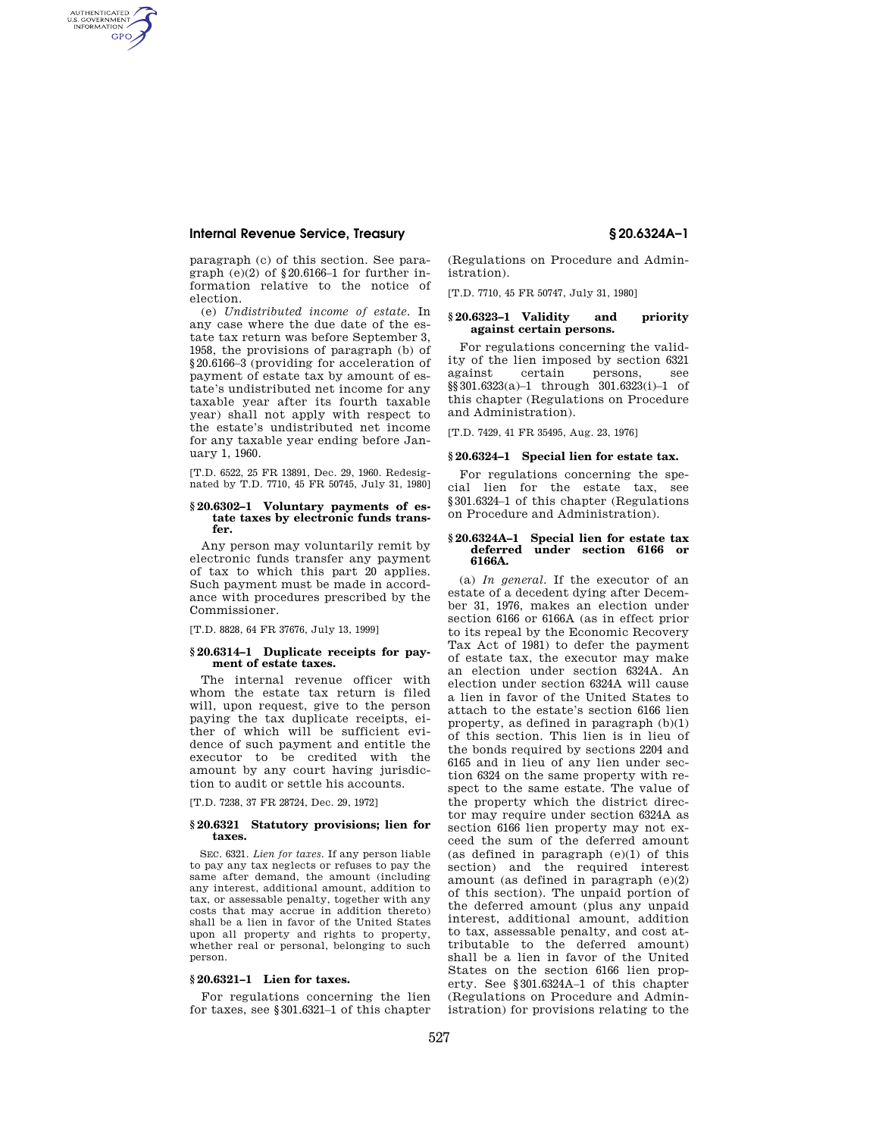# **Internal Revenue Service, Treasury § 20.6324A–1**

AUTHENTICATED<br>U.S. GOVERNMENT<br>INFORMATION **GPO** 

> paragraph (c) of this section. See paragraph  $(e)(2)$  of §20.6166–1 for further information relative to the notice of election.

> (e) *Undistributed income of estate.* In any case where the due date of the estate tax return was before September 3, 1958, the provisions of paragraph (b) of §20.6166–3 (providing for acceleration of payment of estate tax by amount of estate's undistributed net income for any taxable year after its fourth taxable year) shall not apply with respect to the estate's undistributed net income for any taxable year ending before January 1, 1960.

[T.D. 6522, 25 FR 13891, Dec. 29, 1960. Redesignated by T.D. 7710, 45 FR 50745, July 31, 1980]

### **§ 20.6302–1 Voluntary payments of estate taxes by electronic funds transfer.**

Any person may voluntarily remit by electronic funds transfer any payment of tax to which this part 20 applies. Such payment must be made in accordance with procedures prescribed by the Commissioner.

[T.D. 8828, 64 FR 37676, July 13, 1999]

### **§ 20.6314–1 Duplicate receipts for payment of estate taxes.**

The internal revenue officer with whom the estate tax return is filed will, upon request, give to the person paying the tax duplicate receipts, either of which will be sufficient evidence of such payment and entitle the executor to be credited with the amount by any court having jurisdiction to audit or settle his accounts.

[T.D. 7238, 37 FR 28724, Dec. 29, 1972]

#### **§ 20.6321 Statutory provisions; lien for taxes.**

SEC. 6321. *Lien for taxes.* If any person liable to pay any tax neglects or refuses to pay the same after demand, the amount (including any interest, additional amount, addition to tax, or assessable penalty, together with any costs that may accrue in addition thereto) shall be a lien in favor of the United States upon all property and rights to property, whether real or personal, belonging to such person.

## **§ 20.6321–1 Lien for taxes.**

For regulations concerning the lien for taxes, see §301.6321–1 of this chapter (Regulations on Procedure and Administration).

[T.D. 7710, 45 FR 50747, July 31, 1980]

# **§ 20.6323–1 Validity and priority against certain persons.**

For regulations concerning the validity of the lien imposed by section 6321 certain persons, see §§301.6323(a)–1 through 301.6323(i)–1 of this chapter (Regulations on Procedure and Administration).

[T.D. 7429, 41 FR 35495, Aug. 23, 1976]

### **§ 20.6324–1 Special lien for estate tax.**

For regulations concerning the special lien for the estate tax, see §301.6324–1 of this chapter (Regulations on Procedure and Administration).

#### **§ 20.6324A–1 Special lien for estate tax deferred under section 6166 or 6166A.**

(a) *In general.* If the executor of an estate of a decedent dying after December 31, 1976, makes an election under section 6166 or 6166A (as in effect prior to its repeal by the Economic Recovery Tax Act of 1981) to defer the payment of estate tax, the executor may make an election under section 6324A. An election under section 6324A will cause a lien in favor of the United States to attach to the estate's section 6166 lien property, as defined in paragraph (b)(1) of this section. This lien is in lieu of the bonds required by sections 2204 and 6165 and in lieu of any lien under section 6324 on the same property with respect to the same estate. The value of the property which the district director may require under section 6324A as section 6166 lien property may not exceed the sum of the deferred amount (as defined in paragraph (e)(1) of this section) and the required interest amount (as defined in paragraph (e)(2) of this section). The unpaid portion of the deferred amount (plus any unpaid interest, additional amount, addition to tax, assessable penalty, and cost attributable to the deferred amount) shall be a lien in favor of the United States on the section 6166 lien property. See §301.6324A–1 of this chapter (Regulations on Procedure and Administration) for provisions relating to the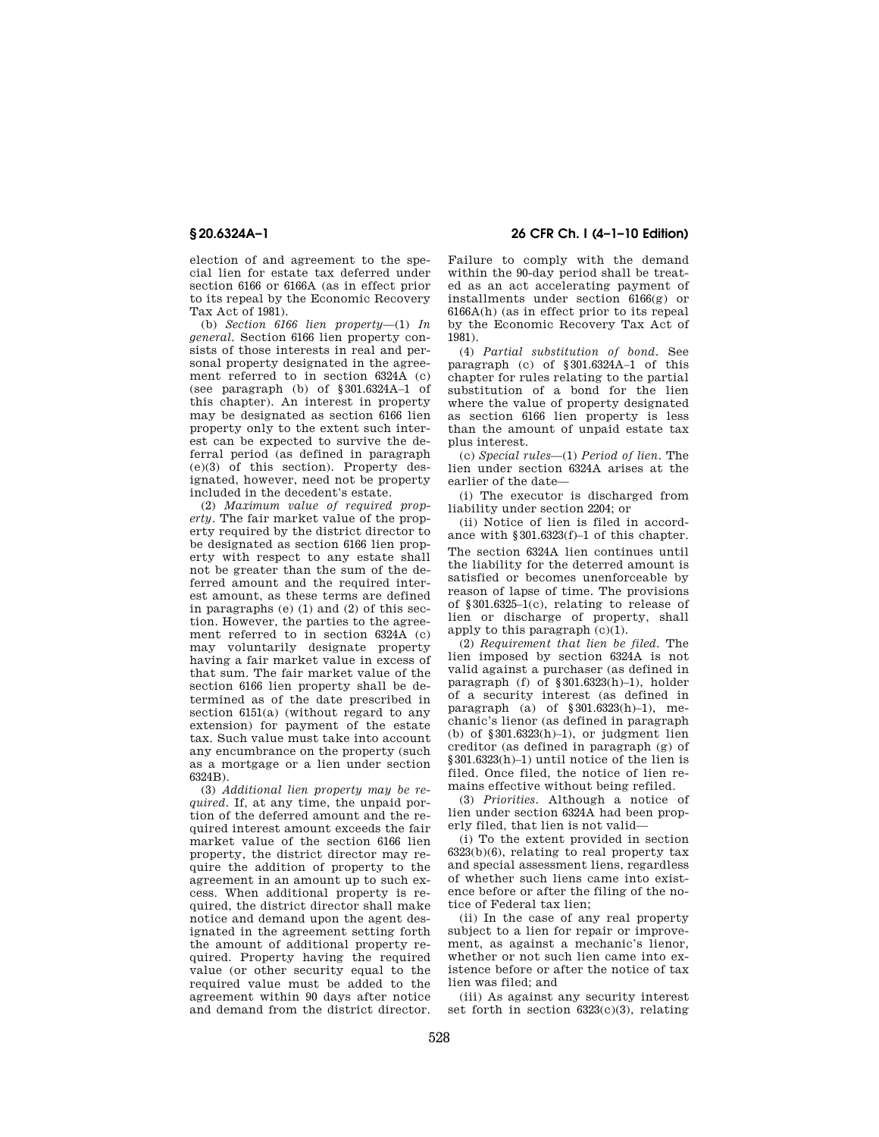election of and agreement to the special lien for estate tax deferred under section 6166 or 6166A (as in effect prior to its repeal by the Economic Recovery Tax Act of 1981).

(b) *Section 6166 lien property*—(1) *In general.* Section 6166 lien property consists of those interests in real and personal property designated in the agreement referred to in section 6324A (c) (see paragraph (b) of §301.6324A–1 of this chapter). An interest in property may be designated as section 6166 lien property only to the extent such interest can be expected to survive the deferral period (as defined in paragraph (e)(3) of this section). Property designated, however, need not be property included in the decedent's estate.

(2) *Maximum value of required property.* The fair market value of the property required by the district director to be designated as section 6166 lien property with respect to any estate shall not be greater than the sum of the deferred amount and the required interest amount, as these terms are defined in paragraphs (e) (1) and (2) of this section. However, the parties to the agreement referred to in section 6324A (c) may voluntarily designate property having a fair market value in excess of that sum. The fair market value of the section 6166 lien property shall be determined as of the date prescribed in section 6151(a) (without regard to any extension) for payment of the estate tax. Such value must take into account any encumbrance on the property (such as a mortgage or a lien under section 6324B).

(3) *Additional lien property may be required.* If, at any time, the unpaid portion of the deferred amount and the required interest amount exceeds the fair market value of the section 6166 lien property, the district director may require the addition of property to the agreement in an amount up to such excess. When additional property is required, the district director shall make notice and demand upon the agent designated in the agreement setting forth the amount of additional property required. Property having the required value (or other security equal to the required value must be added to the agreement within 90 days after notice and demand from the district director.

**§ 20.6324A–1 26 CFR Ch. I (4–1–10 Edition)** 

Failure to comply with the demand within the 90-day period shall be treated as an act accelerating payment of installments under section 6166(g) or 6166A(h) (as in effect prior to its repeal by the Economic Recovery Tax Act of 1981).

(4) *Partial substitution of bond.* See paragraph (c) of §301.6324A–1 of this chapter for rules relating to the partial substitution of a bond for the lien where the value of property designated as section 6166 lien property is less than the amount of unpaid estate tax plus interest.

(c) *Special rules*—(1) *Period of lien.* The lien under section 6324A arises at the earlier of the date—

(i) The executor is discharged from liability under section 2204; or

(ii) Notice of lien is filed in accordance with §301.6323(f)–1 of this chapter. The section 6324A lien continues until the liability for the deterred amount is satisfied or becomes unenforceable by reason of lapse of time. The provisions of §301.6325–1(c), relating to release of lien or discharge of property, shall apply to this paragraph  $(c)(1)$ .

(2) *Requirement that lien be filed.* The lien imposed by section 6324A is not valid against a purchaser (as defined in paragraph (f) of  $§ 301.6323(h)-1)$ , holder of a security interest (as defined in paragraph (a) of §301.6323(h)–1), mechanic's lienor (as defined in paragraph (b) of  $\S 301.6323(h)-1$ , or judgment lien creditor (as defined in paragraph (g) of §301.6323(h)–1) until notice of the lien is filed. Once filed, the notice of lien remains effective without being refiled.

(3) *Priorities.* Although a notice of lien under section 6324A had been properly filed, that lien is not valid—

(i) To the extent provided in section  $6323(b)(6)$ , relating to real property tax and special assessment liens, regardless of whether such liens came into existence before or after the filing of the notice of Federal tax lien;

(ii) In the case of any real property subject to a lien for repair or improvement, as against a mechanic's lienor, whether or not such lien came into existence before or after the notice of tax lien was filed; and

(iii) As against any security interest set forth in section  $6323(c)(3)$ , relating